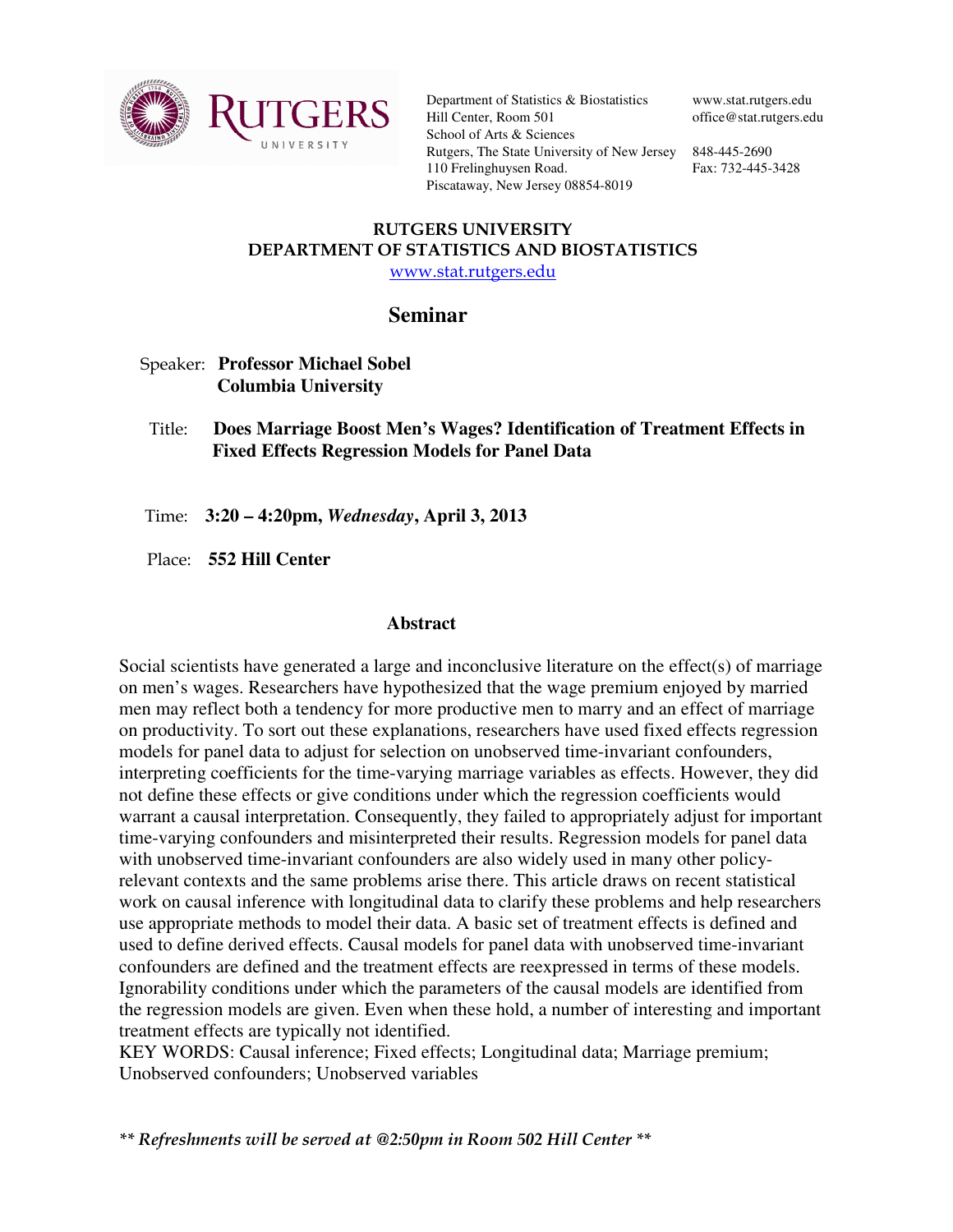

Department of Statistics & Biostatistics Hill Center, Room 501 School of Arts & Sciences Rutgers, The State University of New Jersey 848-445-2690 110 Frelinghuysen Road. Piscataway, New Jersey 08854-8019

www.stat.rutgers.edu office@stat.rutgers.edu

Fax: 732-445-3428

## RUTGERS UNIVERSITY DEPARTMENT OF STATISTICS AND BIOSTATISTICS www.stat.rutgers.edu

## **Seminar**

- Speaker: **Professor Michael Sobel Columbia University**
- Title: **Does Marriage Boost Men's Wages? Identification of Treatment Effects in Fixed Effects Regression Models for Panel Data**

Time: **3:20 – 4:20pm,** *Wednesday***, April 3, 2013**

Place: **552 Hill Center** 

## **Abstract**

Social scientists have generated a large and inconclusive literature on the effect(s) of marriage on men's wages. Researchers have hypothesized that the wage premium enjoyed by married men may reflect both a tendency for more productive men to marry and an effect of marriage on productivity. To sort out these explanations, researchers have used fixed effects regression models for panel data to adjust for selection on unobserved time-invariant confounders, interpreting coefficients for the time-varying marriage variables as effects. However, they did not define these effects or give conditions under which the regression coefficients would warrant a causal interpretation. Consequently, they failed to appropriately adjust for important time-varying confounders and misinterpreted their results. Regression models for panel data with unobserved time-invariant confounders are also widely used in many other policyrelevant contexts and the same problems arise there. This article draws on recent statistical work on causal inference with longitudinal data to clarify these problems and help researchers use appropriate methods to model their data. A basic set of treatment effects is defined and used to define derived effects. Causal models for panel data with unobserved time-invariant confounders are defined and the treatment effects are reexpressed in terms of these models. Ignorability conditions under which the parameters of the causal models are identified from the regression models are given. Even when these hold, a number of interesting and important treatment effects are typically not identified.

KEY WORDS: Causal inference; Fixed effects; Longitudinal data; Marriage premium; Unobserved confounders; Unobserved variables

\*\* Refreshments will be served at @2:50pm in Room 502 Hill Center \*\*